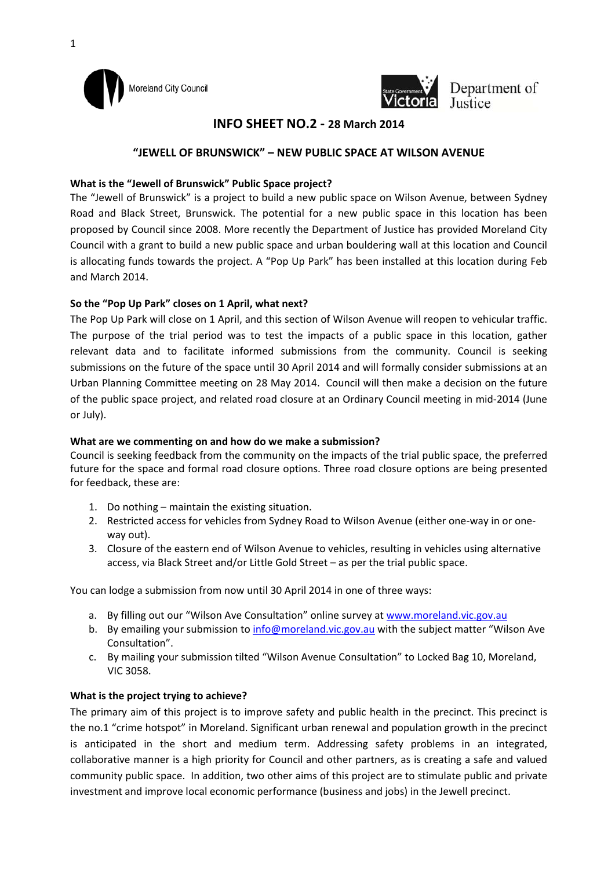



Department of *depend Justice* 

# **INFO SHEET NO.2 ‐ 28 March 2014**

## **"JEWELL OF BRUNSWICK" – NEW PUBLIC SPACE AT WILSON AVENUE**

#### **What is the "Jewell of Brunswick" Public Space project?**

The "Jewell of Brunswick" is a project to build a new public space on Wilson Avenue, between Sydney Road and Black Street, Brunswick. The potential for a new public space in this location has been proposed by Council since 2008. More recently the Department of Justice has provided Moreland City Council with a grant to build a new public space and urban bouldering wall at this location and Council is allocating funds towards the project. A "Pop Up Park" has been installed at this location during Feb and March 2014.

#### **So the "Pop Up Park" closes on 1 April, what next?**

The Pop Up Park will close on 1 April, and this section of Wilson Avenue will reopen to vehicular traffic. The purpose of the trial period was to test the impacts of a public space in this location, gather relevant data and to facilitate informed submissions from the community. Council is seeking submissions on the future of the space until 30 April 2014 and will formally consider submissions at an Urban Planning Committee meeting on 28 May 2014. Council will then make a decision on the future of the public space project, and related road closure at an Ordinary Council meeting in mid‐2014 (June or July).

#### **What are we commenting on and how do we make a submission?**

Council is seeking feedback from the community on the impacts of the trial public space, the preferred future for the space and formal road closure options. Three road closure options are being presented for feedback, these are:

- 1. Do nothing maintain the existing situation.
- 2. Restricted access for vehicles from Sydney Road to Wilson Avenue (either one‐way in or one‐ way out).
- 3. Closure of the eastern end of Wilson Avenue to vehicles, resulting in vehicles using alternative access, via Black Street and/or Little Gold Street – as per the trial public space.

You can lodge a submission from now until 30 April 2014 in one of three ways:

- a. By filling out our "Wilson Ave Consultation" online survey at www.moreland.vic.gov.au
- b. By emailing your submission to info@moreland.vic.gov.au with the subject matter "Wilson Ave Consultation".
- c. By mailing your submission tilted "Wilson Avenue Consultation" to Locked Bag 10, Moreland, VIC 3058.

#### **What is the project trying to achieve?**

The primary aim of this project is to improve safety and public health in the precinct. This precinct is the no.1 "crime hotspot" in Moreland. Significant urban renewal and population growth in the precinct is anticipated in the short and medium term. Addressing safety problems in an integrated, collaborative manner is a high priority for Council and other partners, as is creating a safe and valued community public space. In addition, two other aims of this project are to stimulate public and private investment and improve local economic performance (business and jobs) in the Jewell precinct.